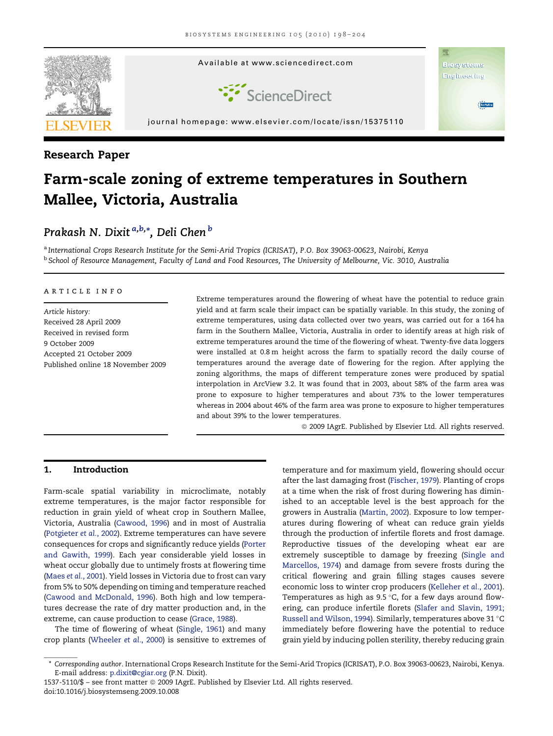

### Research Paper

# Farm-scale zoning of extreme temperatures in Southern Mallee, Victoria, Australia

## Prakash N. Dixit <sup>a,b,</sup>\*, Deli Chen <sup>b</sup>

a International Crops Research Institute for the Semi-Arid Tropics (ICRISAT), P.O. Box 39063-00623, Nairobi, Kenya <sup>b</sup> School of Resource Management, Faculty of Land and Food Resources, The University of Melbourne, Vic. 3010, Australia

#### article info

Article history: Received 28 April 2009 Received in revised form 9 October 2009 Accepted 21 October 2009 Published online 18 November 2009 Extreme temperatures around the flowering of wheat have the potential to reduce grain yield and at farm scale their impact can be spatially variable. In this study, the zoning of extreme temperatures, using data collected over two years, was carried out for a 164 ha farm in the Southern Mallee, Victoria, Australia in order to identify areas at high risk of extreme temperatures around the time of the flowering of wheat. Twenty-five data loggers were installed at 0.8 m height across the farm to spatially record the daily course of temperatures around the average date of flowering for the region. After applying the zoning algorithms, the maps of different temperature zones were produced by spatial interpolation in ArcView 3.2. It was found that in 2003, about 58% of the farm area was prone to exposure to higher temperatures and about 73% to the lower temperatures whereas in 2004 about 46% of the farm area was prone to exposure to higher temperatures and about 39% to the lower temperatures.

 $@$  2009 IAgrE. Published by Elsevier Ltd. All rights reserved.

#### 1. Introduction

Farm-scale spatial variability in microclimate, notably extreme temperatures, is the major factor responsible for reduction in grain yield of wheat crop in Southern Mallee, Victoria, Australia [\(Cawood, 1996](#page-5-0)) and in most of Australia ([Potgieter](#page-6-0) et al., 2002). Extreme temperatures can have severe consequences for crops and significantly reduce yields ([Porter](#page-6-0) [and Gawith, 1999](#page-6-0)). Each year considerable yield losses in wheat occur globally due to untimely frosts at flowering time (Maes et al.[, 2001\)](#page-5-0). Yield losses in Victoria due to frost can vary from 5% to 50% depending on timing and temperature reached ([Cawood and McDonald, 1996](#page-5-0)). Both high and low temperatures decrease the rate of dry matter production and, in the extreme, can cause production to cease ([Grace, 1988](#page-5-0)).

The time of flowering of wheat [\(Single, 1961\)](#page-6-0) and many crop plants ([Wheeler](#page-6-0) et al., 2000) is sensitive to extremes of temperature and for maximum yield, flowering should occur after the last damaging frost [\(Fischer, 1979\)](#page-5-0). Planting of crops at a time when the risk of frost during flowering has diminished to an acceptable level is the best approach for the growers in Australia ([Martin, 2002](#page-5-0)). Exposure to low temperatures during flowering of wheat can reduce grain yields through the production of infertile florets and frost damage. Reproductive tissues of the developing wheat ear are extremely susceptible to damage by freezing ([Single and](#page-6-0) [Marcellos, 1974](#page-6-0)) and damage from severe frosts during the critical flowering and grain filling stages causes severe economic loss to winter crop producers ([Kelleher](#page-5-0) et al., 2001). Temperatures as high as  $9.5\textdegree C$ , for a few days around flowering, can produce infertile florets ([Slafer and Slavin, 1991;](#page-6-0) [Russell and Wilson, 1994](#page-6-0)). Similarly, temperatures above 31 °C immediately before flowering have the potential to reduce grain yield by inducing pollen sterility, thereby reducing grain

<sup>\*</sup> Corresponding author. International Crops Research Institute for the Semi-Arid Tropics (ICRISAT), P.O. Box 39063-00623, Nairobi, Kenya. E-mail address: [p.dixit@cgiar.org](mailto:p.dixit@cgiar.org) (P.N. Dixit).

<sup>1537-5110/\$ -</sup> see front matter © 2009 IAgrE. Published by Elsevier Ltd. All rights reserved. doi:10.1016/j.biosystemseng.2009.10.008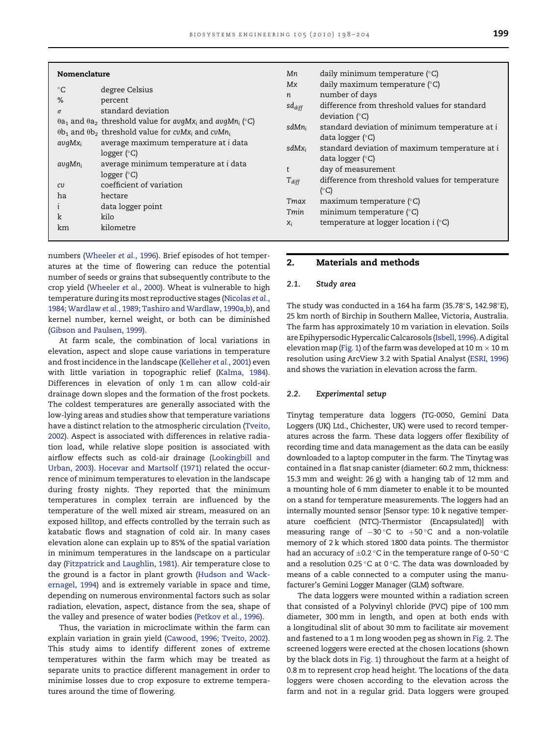| Nomenclature<br>$^{\circ}C$<br>%<br>$\sigma$<br>$avqMx_i$<br>avgMn <sub>i</sub><br>cv<br>ha<br>k | degree Celsius<br>percent<br>standard deviation<br>$\theta$ a <sub>1</sub> and $\theta$ a <sub>2</sub> threshold value for avgMx <sub>i</sub> and avgMn <sub>i</sub> (°C)<br>$\theta$ b <sub>1</sub> and $\theta$ b <sub>2</sub> threshold value for cvMx <sub>i</sub> and cvMn <sub>i</sub><br>average maximum temperature at i data<br>logger $(^\circ C)$<br>average minimum temperature at i data<br>logger $(^\circ C)$<br>coefficient of variation<br>hectare<br>data logger point<br>kilo | Мn<br>Mx<br>$\boldsymbol{n}$<br>$sd_{diff}$<br>sdMn <sub>i</sub><br>$sdMx_i$<br>$T_{diff}$<br>Tmax<br>Tmin | daily minimum temperature $(^\circ C)$<br>daily maximum temperature $(°C)$<br>number of days<br>difference from threshold values for standard<br>deviation $(^{\circ}C)$<br>standard deviation of minimum temperature at i<br>data logger $(°C)$<br>standard deviation of maximum temperature at i<br>data logger $(°C)$<br>day of measurement<br>difference from threshold values for temperature<br>$(^{\circ}C)$<br>maximum temperature $(°C)$<br>minimum temperature $(°C)$ |
|--------------------------------------------------------------------------------------------------|--------------------------------------------------------------------------------------------------------------------------------------------------------------------------------------------------------------------------------------------------------------------------------------------------------------------------------------------------------------------------------------------------------------------------------------------------------------------------------------------------|------------------------------------------------------------------------------------------------------------|---------------------------------------------------------------------------------------------------------------------------------------------------------------------------------------------------------------------------------------------------------------------------------------------------------------------------------------------------------------------------------------------------------------------------------------------------------------------------------|
| km                                                                                               | kilometre                                                                                                                                                                                                                                                                                                                                                                                                                                                                                        | $X_i$                                                                                                      | temperature at logger location $i$ ( $\degree$ C)                                                                                                                                                                                                                                                                                                                                                                                                                               |

| numbers (Wheeler et al., 1996). Brief episodes of hot temper-    |
|------------------------------------------------------------------|
| atures at the time of flowering can reduce the potential         |
| number of seeds or grains that subsequently contribute to the    |
| crop yield (Wheeler et al., 2000). Wheat is vulnerable to high   |
| temperature during its most reproductive stages (Nicolas et al., |
| 1984; Wardlaw et al., 1989; Tashiro and Wardlaw, 1990a,b), and   |
| kernel number, kernel weight, or both can be diminished          |
| (Gibson and Paulsen, 1999).                                      |

At farm scale, the combination of local variations in elevation, aspect and slope cause variations in temperature and frost incidence in the landscape [\(Kelleher](#page-5-0) et al., 2001) even with little variation in topographic relief [\(Kalma, 1984](#page-5-0)). Differences in elevation of only 1 m can allow cold-air drainage down slopes and the formation of the frost pockets. The coldest temperatures are generally associated with the low-lying areas and studies show that temperature variations have a distinct relation to the atmospheric circulation [\(Tveito,](#page-6-0) [2002](#page-6-0)). Aspect is associated with differences in relative radiation load, while relative slope position is associated with airflow effects such as cold-air drainage [\(Lookingbill and](#page-5-0) [Urban, 2003\)](#page-5-0). [Hocevar and Martsolf \(1971\)](#page-5-0) related the occurrence of minimum temperatures to elevation in the landscape during frosty nights. They reported that the minimum temperatures in complex terrain are influenced by the temperature of the well mixed air stream, measured on an exposed hilltop, and effects controlled by the terrain such as katabatic flows and stagnation of cold air. In many cases elevation alone can explain up to 85% of the spatial variation in minimum temperatures in the landscape on a particular day ([Fitzpatrick and Laughlin, 1981\)](#page-5-0). Air temperature close to the ground is a factor in plant growth ([Hudson and Wack](#page-5-0)[ernagel, 1994\)](#page-5-0) and is extremely variable in space and time, depending on numerous environmental factors such as solar radiation, elevation, aspect, distance from the sea, shape of the valley and presence of water bodies ([Petkov](#page-6-0) et al., 1996).

Thus, the variation in microclimate within the farm can explain variation in grain yield ([Cawood, 1996; Tveito, 2002](#page-5-0)). This study aims to identify different zones of extreme temperatures within the farm which may be treated as separate units to practice different management in order to minimise losses due to crop exposure to extreme temperatures around the time of flowering.

#### 2. Materials and methods

#### 2.1. Study area

The study was conducted in a 164 ha farm (35.78°S, 142.98°E), 25 km north of Birchip in Southern Mallee, Victoria, Australia. The farm has approximately 10 m variation in elevation. Soils are Epihypersodic Hypercalic Calcarosols ([Isbell, 1996\)](#page-5-0). A digital elevation map [\(Fig. 1\)](#page-2-0) of the farm was developed at 10 m  $\times$  10 m resolution using ArcView 3.2 with Spatial Analyst [\(ESRI, 1996\)](#page-5-0) and shows the variation in elevation across the farm.

#### 2.2. Experimental setup

Tinytag temperature data loggers (TG-0050, Gemini Data Loggers (UK) Ltd., Chichester, UK) were used to record temperatures across the farm. These data loggers offer flexibility of recording time and data management as the data can be easily downloaded to a laptop computer in the farm. The Tinytag was contained in a flat snap canister (diameter: 60.2 mm, thickness: 15.3 mm and weight: 26 g) with a hanging tab of 12 mm and a mounting hole of 6 mm diameter to enable it to be mounted on a stand for temperature measurements. The loggers had an internally mounted sensor [Sensor type: 10 k negative temperature coefficient (NTC)-Thermistor (Encapsulated)] with measuring range of  $-30\degree C$  to  $+50\degree C$  and a non-volatile memory of 2 k which stored 1800 data points. The thermistor had an accuracy of  $\pm$ 0.2 °C in the temperature range of 0–50 °C and a resolution 0.25 °C at 0 °C. The data was downloaded by means of a cable connected to a computer using the manufacturer's Gemini Logger Manager (GLM) software.

The data loggers were mounted within a radiation screen that consisted of a Polyvinyl chloride (PVC) pipe of 100 mm diameter, 300 mm in length, and open at both ends with a longitudinal slit of about 30 mm to facilitate air movement and fastened to a 1 m long wooden peg as shown in [Fig. 2.](#page-2-0) The screened loggers were erected at the chosen locations (shown by the black dots in [Fig. 1](#page-2-0)) throughout the farm at a height of 0.8 m to represent crop head height. The locations of the data loggers were chosen according to the elevation across the farm and not in a regular grid. Data loggers were grouped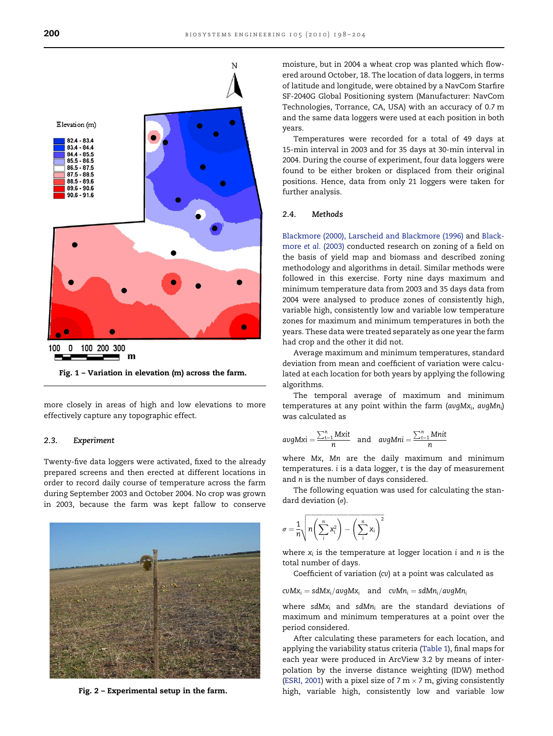<span id="page-2-0"></span>

Fig. 1 – Variation in elevation (m) across the farm.

more closely in areas of high and low elevations to more effectively capture any topographic effect.

#### 2.3. Experiment

Twenty-five data loggers were activated, fixed to the already prepared screens and then erected at different locations in order to record daily course of temperature across the farm during September 2003 and October 2004. No crop was grown in 2003, because the farm was kept fallow to conserve



moisture, but in 2004 a wheat crop was planted which flowered around October, 18. The location of data loggers, in terms of latitude and longitude, were obtained by a NavCom Starfire SF-2040G Global Positioning system (Manufacturer: NavCom Technologies, Torrance, CA, USA) with an accuracy of 0.7 m and the same data loggers were used at each position in both years.

Temperatures were recorded for a total of 49 days at 15-min interval in 2003 and for 35 days at 30-min interval in 2004. During the course of experiment, four data loggers were found to be either broken or displaced from their original positions. Hence, data from only 21 loggers were taken for further analysis.

#### 2.4. Methods

[Blackmore \(2000\), Larscheid and Blackmore \(1996\)](#page-5-0) and [Black](#page-5-0)more et al. [\(2003\)](#page-5-0) conducted research on zoning of a field on the basis of yield map and biomass and described zoning methodology and algorithms in detail. Similar methods were followed in this exercise. Forty nine days maximum and minimum temperature data from 2003 and 35 days data from 2004 were analysed to produce zones of consistently high, variable high, consistently low and variable low temperature zones for maximum and minimum temperatures in both the years. These data were treated separately as one year the farm had crop and the other it did not.

Average maximum and minimum temperatures, standard deviation from mean and coefficient of variation were calculated at each location for both years by applying the following algorithms.

The temporal average of maximum and minimum temperatures at any point within the farm ( $avgMx_i$ ,  $avgMn_i$ ) was calculated as

$$
avgMxi = \frac{\sum_{t=1}^{n} Mxit}{n} \quad \text{and} \quad avgMni = \frac{\sum_{t=1}^{n} Mnit}{n}
$$

where Mx, Mn are the daily maximum and minimum temperatures. i is a data logger, t is the day of measurement and n is the number of days considered.

The following equation was used for calculating the standard deviation  $(\sigma)$ .

$$
\sigma = \frac{1}{n} \sqrt{n \left(\sum_{i}^{n} X_i^2\right) - \left(\sum_{i}^{n} X_i\right)^2}
$$

where  $x_i$  is the temperature at logger location i and n is the total number of days.

Coefficient of variation (cv) at a point was calculated as

 $cvMx_i = sdMx_i/avgMx_i$  and  $cvMn_i = sdMn_i/avgMn_i$ 

where sdMx<sub>i</sub> and sdMn<sub>i</sub> are the standard deviations of maximum and minimum temperatures at a point over the period considered.

After calculating these parameters for each location, and applying the variability status criteria ([Table 1\)](#page-3-0), final maps for each year were produced in ArcView 3.2 by means of interpolation by the inverse distance weighting (IDW) method ([ESRI, 2001](#page-5-0)) with a pixel size of 7 m  $\times$  7 m, giving consistently Fig. 2 - Experimental setup in the farm. Thigh, variable high, consistently low and variable low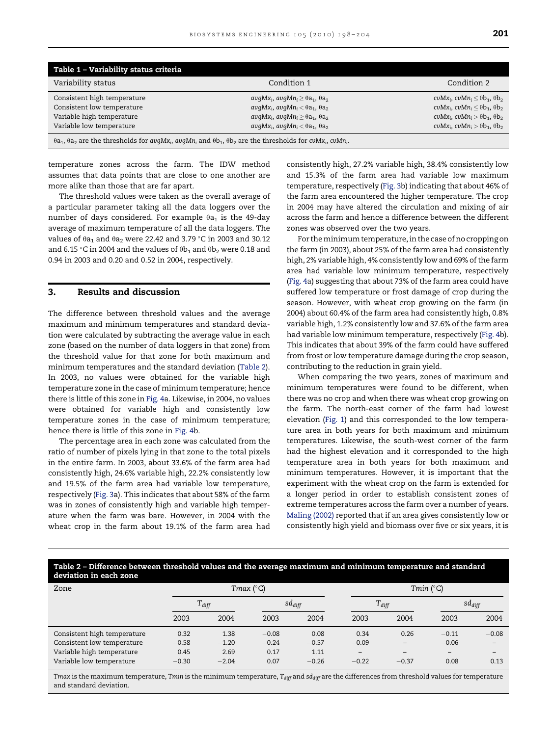<span id="page-3-0"></span>

| Table 1 - Variability status criteria                                                                                                                                                                                                                                                                                                                                           |                                                                                                                                                                                                                                                       |                                                                                                                                                                                                                 |  |  |  |  |  |  |
|---------------------------------------------------------------------------------------------------------------------------------------------------------------------------------------------------------------------------------------------------------------------------------------------------------------------------------------------------------------------------------|-------------------------------------------------------------------------------------------------------------------------------------------------------------------------------------------------------------------------------------------------------|-----------------------------------------------------------------------------------------------------------------------------------------------------------------------------------------------------------------|--|--|--|--|--|--|
| Variability status                                                                                                                                                                                                                                                                                                                                                              | Condition 1                                                                                                                                                                                                                                           | Condition 2                                                                                                                                                                                                     |  |  |  |  |  |  |
| Consistent high temperature<br>Consistent low temperature<br>Variable high temperature                                                                                                                                                                                                                                                                                          | avqMx <sub>i</sub> , avqMn <sub>i</sub> $\geq \theta$ a <sub>1</sub> , $\theta$ a <sub>2</sub><br>$avgMx_i$ , $avgMn_i < \theta a_1$ , $\theta a_2$<br>avqMx <sub>i</sub> , avqMn <sub>i</sub> $\geq \theta$ a <sub>1</sub> , $\theta$ a <sub>2</sub> | cvMx <sub>i</sub> , cvMn <sub>i</sub> $\lt$ $\theta$ b <sub>1</sub> , $\theta$ b <sub>2</sub><br>$c\nu Mx_i$ , $c\nu Mn_i < \theta b_1$ , $\theta b_2$<br>$c\nu Mx_i$ , $c\nu Mn_i > \theta b_1$ , $\theta b_2$ |  |  |  |  |  |  |
| Variable low temperature<br>$c\nu Mx_i$ , $c\nu Mn_i > \theta b_1$ , $\theta b_2$<br>$avgMx_i$ , $avgMn_i < \theta a_1$ , $\theta a_2$<br>$\theta$ a <sub>1</sub> , $\theta$ a <sub>2</sub> are the thresholds for avgMx <sub>i</sub> , avgMn <sub>i</sub> and $\theta$ b <sub>1</sub> , $\theta$ b <sub>2</sub> are the thresholds for cvMx <sub>i</sub> , cvMn <sub>i</sub> . |                                                                                                                                                                                                                                                       |                                                                                                                                                                                                                 |  |  |  |  |  |  |

temperature zones across the farm. The IDW method assumes that data points that are close to one another are more alike than those that are far apart.

The threshold values were taken as the overall average of a particular parameter taking all the data loggers over the number of days considered. For example  $\theta$ a<sub>1</sub> is the 49-day average of maximum temperature of all the data loggers. The values of  $\theta$ a $_1$  and  $\theta$ a $_2$  were 22.42 and 3.79 °C in 2003 and 30.12 and 6.15 °C in 2004 and the values of  $\theta{\sf b}_1$  and  $\theta{\sf b}_2$  were 0.18 and 0.94 in 2003 and 0.20 and 0.52 in 2004, respectively.

#### 3. Results and discussion

The difference between threshold values and the average maximum and minimum temperatures and standard deviation were calculated by subtracting the average value in each zone (based on the number of data loggers in that zone) from the threshold value for that zone for both maximum and minimum temperatures and the standard deviation (Table 2). In 2003, no values were obtained for the variable high temperature zone in the case of minimum temperature; hence there is little of this zone in [Fig. 4](#page-4-0)a. Likewise, in 2004, no values were obtained for variable high and consistently low temperature zones in the case of minimum temperature; hence there is little of this zone in [Fig. 4b](#page-4-0).

The percentage area in each zone was calculated from the ratio of number of pixels lying in that zone to the total pixels in the entire farm. In 2003, about 33.6% of the farm area had consistently high, 24.6% variable high, 22.2% consistently low and 19.5% of the farm area had variable low temperature, respectively ([Fig. 3a](#page-4-0)). This indicates that about 58% of the farm was in zones of consistently high and variable high temperature when the farm was bare. However, in 2004 with the wheat crop in the farm about 19.1% of the farm area had consistently high, 27.2% variable high, 38.4% consistently low and 15.3% of the farm area had variable low maximum temperature, respectively [\(Fig. 3](#page-4-0)b) indicating that about 46% of the farm area encountered the higher temperature. The crop in 2004 may have altered the circulation and mixing of air across the farm and hence a difference between the different zones was observed over the two years.

For the minimum temperature, in the case of no cropping on the farm (in 2003), about 25% of the farm area had consistently high, 2% variable high, 4% consistently low and 69% of the farm area had variable low minimum temperature, respectively [\(Fig. 4](#page-4-0)a) suggesting that about 73% of the farm area could have suffered low temperature or frost damage of crop during the season. However, with wheat crop growing on the farm (in 2004) about 60.4% of the farm area had consistently high, 0.8% variable high, 1.2% consistently low and 37.6% of the farm area had variable low minimum temperature, respectively ([Fig. 4b](#page-4-0)). This indicates that about 39% of the farm could have suffered from frost or low temperature damage during the crop season, contributing to the reduction in grain yield.

When comparing the two years, zones of maximum and minimum temperatures were found to be different, when there was no crop and when there was wheat crop growing on the farm. The north-east corner of the farm had lowest elevation [\(Fig. 1](#page-2-0)) and this corresponded to the low temperature area in both years for both maximum and minimum temperatures. Likewise, the south-west corner of the farm had the highest elevation and it corresponded to the high temperature area in both years for both maximum and minimum temperatures. However, it is important that the experiment with the wheat crop on the farm is extended for a longer period in order to establish consistent zones of extreme temperatures across the farm over a number of years. [Maling \(2002\)](#page-5-0) reported that if an area gives consistently low or consistently high yield and biomass over five or six years, it is

#### Table 2 – Difference between threshold values and the average maximum and minimum temperature and standard deviation in each zone

| Zone                        | Tmax $(^{\circ}C)$ |         |             |         | Tmin $(^\circ C)$ |                   |             |                          |
|-----------------------------|--------------------|---------|-------------|---------|-------------------|-------------------|-------------|--------------------------|
|                             | $T_{diff}$         |         | $sd_{diff}$ |         | $T_{diff}$        |                   | $sd_{diff}$ |                          |
|                             | 2003               | 2004    | 2003        | 2004    | 2003              | 2004              | 2003        | 2004                     |
| Consistent high temperature | 0.32               | 1.38    | $-0.08$     | 0.08    | 0.34              | 0.26              | $-0.11$     | $-0.08$                  |
| Consistent low temperature  | $-0.58$            | $-1.20$ | $-0.24$     | $-0.57$ | $-0.09$           | $\qquad \qquad -$ | $-0.06$     | $\overline{\phantom{0}}$ |
| Variable high temperature   | 0.45               | 2.69    | 0.17        | 1.11    | $\qquad \qquad -$ |                   | -           | -                        |
| Variable low temperature    | $-0.30$            | $-2.04$ | 0.07        | $-0.26$ | $-0.22$           | $-0.37$           | 0.08        | 0.13                     |

Tmax is the maximum temperature, Tmin is the minimum temperature, T<sub>diff</sub> and sd<sub>diff</sub> are the differences from threshold values for temperature and standard deviation.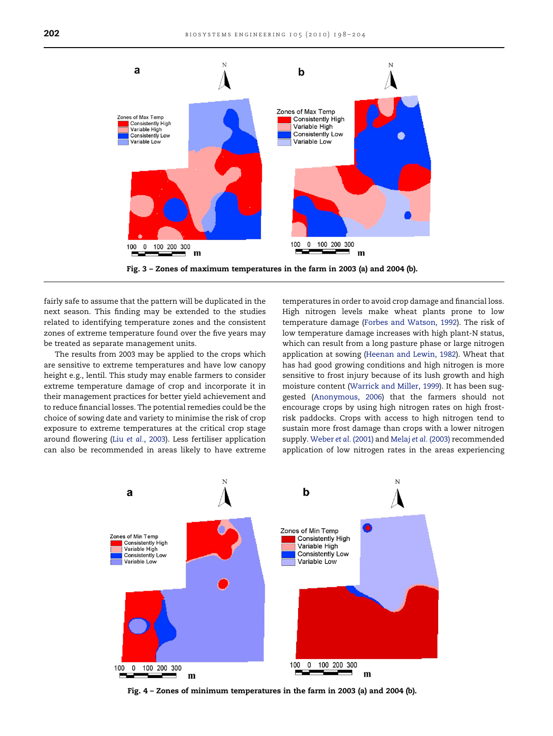<span id="page-4-0"></span>

Fig. 3 – Zones of maximum temperatures in the farm in 2003 (a) and 2004 (b).

fairly safe to assume that the pattern will be duplicated in the next season. This finding may be extended to the studies related to identifying temperature zones and the consistent zones of extreme temperature found over the five years may be treated as separate management units.

The results from 2003 may be applied to the crops which are sensitive to extreme temperatures and have low canopy height e.g., lentil. This study may enable farmers to consider extreme temperature damage of crop and incorporate it in their management practices for better yield achievement and to reduce financial losses. The potential remedies could be the choice of sowing date and variety to minimise the risk of crop exposure to extreme temperatures at the critical crop stage around flowering (Liu et al.[, 2003](#page-5-0)). Less fertiliser application can also be recommended in areas likely to have extreme

temperatures in order to avoid crop damage and financial loss. High nitrogen levels make wheat plants prone to low temperature damage [\(Forbes and Watson, 1992](#page-5-0)). The risk of low temperature damage increases with high plant-N status, which can result from a long pasture phase or large nitrogen application at sowing [\(Heenan and Lewin, 1982](#page-5-0)). Wheat that has had good growing conditions and high nitrogen is more sensitive to frost injury because of its lush growth and high moisture content [\(Warrick and Miller, 1999](#page-6-0)). It has been suggested [\(Anonymous, 2006](#page-5-0)) that the farmers should not encourage crops by using high nitrogen rates on high frostrisk paddocks. Crops with access to high nitrogen tend to sustain more frost damage than crops with a lower nitrogen supply. [Weber](#page-6-0) et al. (2001) and Melaj et al. [\(2003\)](#page-5-0) recommended application of low nitrogen rates in the areas experiencing



Fig. 4 – Zones of minimum temperatures in the farm in 2003 (a) and 2004 (b).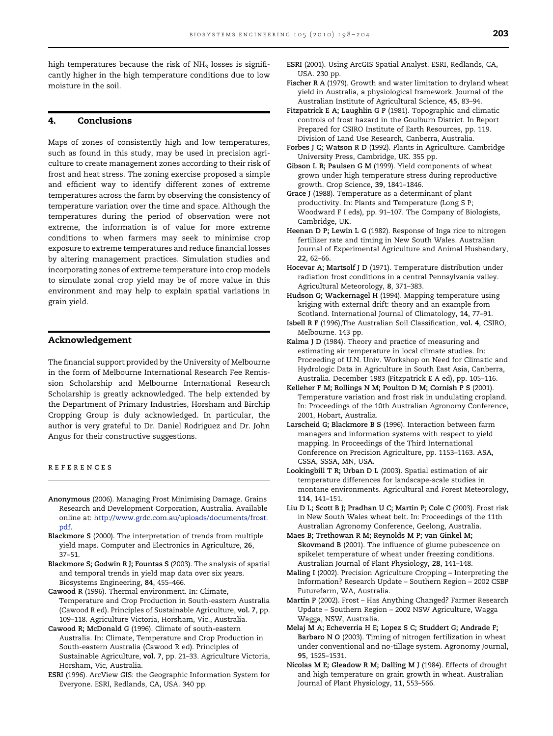<span id="page-5-0"></span>high temperatures because the risk of  $NH<sub>3</sub>$  losses is significantly higher in the high temperature conditions due to low moisture in the soil.

#### 4. Conclusions

Maps of zones of consistently high and low temperatures, such as found in this study, may be used in precision agriculture to create management zones according to their risk of frost and heat stress. The zoning exercise proposed a simple and efficient way to identify different zones of extreme temperatures across the farm by observing the consistency of temperature variation over the time and space. Although the temperatures during the period of observation were not extreme, the information is of value for more extreme conditions to when farmers may seek to minimise crop exposure to extreme temperatures and reduce financial losses by altering management practices. Simulation studies and incorporating zones of extreme temperature into crop models to simulate zonal crop yield may be of more value in this environment and may help to explain spatial variations in grain yield.

#### Acknowledgement

The financial support provided by the University of Melbourne in the form of Melbourne International Research Fee Remission Scholarship and Melbourne International Research Scholarship is greatly acknowledged. The help extended by the Department of Primary Industries, Horsham and Birchip Cropping Group is duly acknowledged. In particular, the author is very grateful to Dr. Daniel Rodriguez and Dr. John Angus for their constructive suggestions.

#### references

- Anonymous (2006). Managing Frost Minimising Damage. Grains Research and Development Corporation, Australia. Available online at: [http://www.grdc.com.au/uploads/documents/frost.](http://www.grdc.com.au/uploads/documents/frost.pdf) [pdf.](http://www.grdc.com.au/uploads/documents/frost.pdf)
- Blackmore S (2000). The interpretation of trends from multiple yield maps. Computer and Electronics in Agriculture, 26, 37–51.
- Blackmore S; Godwin R J; Fountas S (2003). The analysis of spatial and temporal trends in yield map data over six years. Biosystems Engineering, 84, 455–466.
- Cawood R (1996). Thermal environment. In: Climate, Temperature and Crop Production in South-eastern Australia (Cawood R ed). Principles of Sustainable Agriculture, vol. 7, pp. 109–118. Agriculture Victoria, Horsham, Vic., Australia.
- Cawood R; McDonald G (1996). Climate of south-eastern Australia. In: Climate, Temperature and Crop Production in South-eastern Australia (Cawood R ed). Principles of Sustainable Agriculture, vol. 7, pp. 21–33. Agriculture Victoria, Horsham, Vic, Australia.
- ESRI (1996). ArcView GIS: the Geographic Information System for Everyone. ESRI, Redlands, CA, USA. 340 pp.
- ESRI (2001). Using ArcGIS Spatial Analyst. ESRI, Redlands, CA, USA. 230 pp.
- Fischer R A (1979). Growth and water limitation to dryland wheat yield in Australia, a physiological framework. Journal of the Australian Institute of Agricultural Science, 45, 83–94.
- Fitzpatrick E A; Laughlin G P (1981). Topographic and climatic controls of frost hazard in the Goulburn District. In Report Prepared for CSIRO Institute of Earth Resources, pp. 119. Division of Land Use Research, Canberra, Australia.
- Forbes J C; Watson R D (1992). Plants in Agriculture. Cambridge University Press, Cambridge, UK. 355 pp.
- Gibson L R; Paulsen G M (1999). Yield components of wheat grown under high temperature stress during reproductive growth. Crop Science, 39, 1841–1846.
- Grace J (1988). Temperature as a determinant of plant productivity. In: Plants and Temperature (Long S P; Woodward F I eds), pp. 91–107. The Company of Biologists, Cambridge, UK.
- Heenan D P; Lewin L G (1982). Response of Inga rice to nitrogen fertilizer rate and timing in New South Wales. Australian Journal of Experimental Agriculture and Animal Husbandary, 22, 62–66.
- Hocevar A; Martsolf J D (1971). Temperature distribution under radiation frost conditions in a central Pennsylvania valley. Agricultural Meteorology, 8, 371–383.
- Hudson G; Wackernagel H (1994). Mapping temperature using kriging with external drift: theory and an example from Scotland. International Journal of Climatology, 14, 77–91.
- Isbell R F (1996),The Australian Soil Classification, vol. 4, CSIRO, Melbourne. 143 pp.
- Kalma J D (1984). Theory and practice of measuring and estimating air temperature in local climate studies. In: Proceeding of U.N. Univ. Workshop on Need for Climatic and Hydrologic Data in Agriculture in South East Asia, Canberra, Australia. December 1983 (Fitzpatrick E A ed), pp. 105–116.
- Kelleher F M; Rollings N M; Poulton D M; Cornish P S (2001). Temperature variation and frost risk in undulating cropland. In: Proceedings of the 10th Australian Agronomy Conference, 2001, Hobart, Australia.
- Larscheid G; Blackmore B S (1996). Interaction between farm managers and information systems with respect to yield mapping. In Proceedings of the Third International Conference on Precision Agriculture, pp. 1153–1163. ASA, CSSA, SSSA, MN, USA.
- Lookingbill T R; Urban D L (2003). Spatial estimation of air temperature differences for landscape-scale studies in montane environments. Agricultural and Forest Meteorology, 114, 141–151.
- Liu D L; Scott B J; Pradhan U C; Martin P; Cole C (2003). Frost risk in New South Wales wheat belt. In: Proceedings of the 11th Australian Agronomy Conference, Geelong, Australia.

Maes B; Trethowan R M; Reynolds M P; van Ginkel M; Skovmand B (2001). The influence of glume pubescence on spikelet temperature of wheat under freezing conditions. Australian Journal of Plant Physiology, 28, 141–148.

- Maling I (2002). Precision Agriculture Cropping Interpreting the Information? Research Update – Southern Region – 2002 CSBP Futurefarm, WA, Australia.
- Martin P (2002). Frost Has Anything Changed? Farmer Research Update – Southern Region – 2002 NSW Agriculture, Wagga Wagga, NSW, Australia.
- Melaj M A; Echeverria H E; Lopez S C; Studdert G; Andrade F; Barbaro N O (2003). Timing of nitrogen fertilization in wheat under conventional and no-tillage system. Agronomy Journal, 95, 1525–1531.
- Nicolas M E; Gleadow R M; Dalling M J (1984). Effects of drought and high temperature on grain growth in wheat. Australian Journal of Plant Physiology, 11, 553–566.